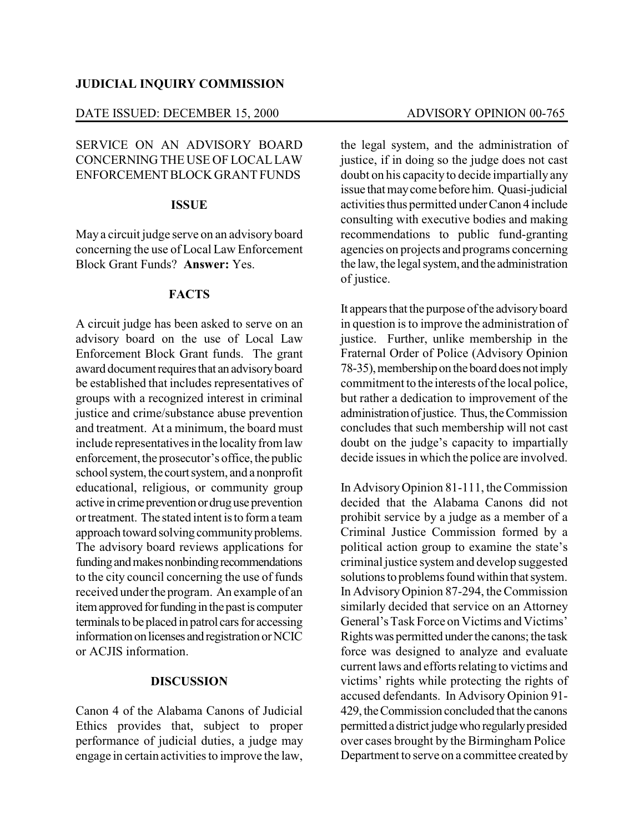#### **JUDICIAL INQUIRY COMMISSION**

#### DATE ISSUED: DECEMBER 15, 2000 ADVISORY OPINION 00-765

# SERVICE ON AN ADVISORY BOARD CONCERNING THE USE OF LOCALLAW ENFORCEMENTBLOCK GRANT FUNDS

## **ISSUE**

May a circuit judge serve on an advisory board concerning the use of Local Law Enforcement Block Grant Funds? **Answer:** Yes.

## **FACTS**

A circuit judge has been asked to serve on an advisory board on the use of Local Law Enforcement Block Grant funds. The grant award document requires that an advisory board be established that includes representatives of groups with a recognized interest in criminal justice and crime/substance abuse prevention and treatment. At a minimum, the board must include representatives in the locality from law enforcement, the prosecutor's office, the public school system, the court system, and a nonprofit educational, religious, or community group active in crime prevention or druguse prevention ortreatment. The stated intent isto form a team approach toward solving community problems. The advisory board reviews applications for funding and makes nonbinding recommendations to the city council concerning the use of funds received underthe program. An example of an item approved for funding in the past is computer terminals to be placed in patrol cars for accessing information on licenses and registration or NCIC or ACJIS information.

## **DISCUSSION**

Canon 4 of the Alabama Canons of Judicial Ethics provides that, subject to proper performance of judicial duties, a judge may engage in certain activities to improve the law,

the legal system, and the administration of justice, if in doing so the judge does not cast doubt on his capacity to decide impartially any issue that maycome before him. Quasi-judicial activities thus permitted under Canon 4 include consulting with executive bodies and making recommendations to public fund-granting agencies on projects and programs concerning the law, the legal system, and the administration of justice.

It appears that the purpose of the advisory board in question is to improve the administration of justice. Further, unlike membership in the Fraternal Order of Police (Advisory Opinion 78-35), membership on the board does not imply commitment to the interests of the local police, but rather a dedication to improvement of the administration of justice. Thus, the Commission concludes that such membership will not cast doubt on the judge's capacity to impartially decide issues in which the police are involved.

In AdvisoryOpinion 81-111, the Commission decided that the Alabama Canons did not prohibit service by a judge as a member of a Criminal Justice Commission formed by a political action group to examine the state's criminal justice system and develop suggested solutions to problems found within that system. In AdvisoryOpinion 87-294, the Commission similarly decided that service on an Attorney General'sTask Force on Victims and Victims' Rightswas permitted underthe canons; the task force was designed to analyze and evaluate current laws and efforts relating to victims and victims' rights while protecting the rights of accused defendants. In Advisory Opinion 91- 429,theCommission concluded that the canons permitted a district judge who regularly presided over cases brought by the Birmingham Police Department to serve on a committee created by